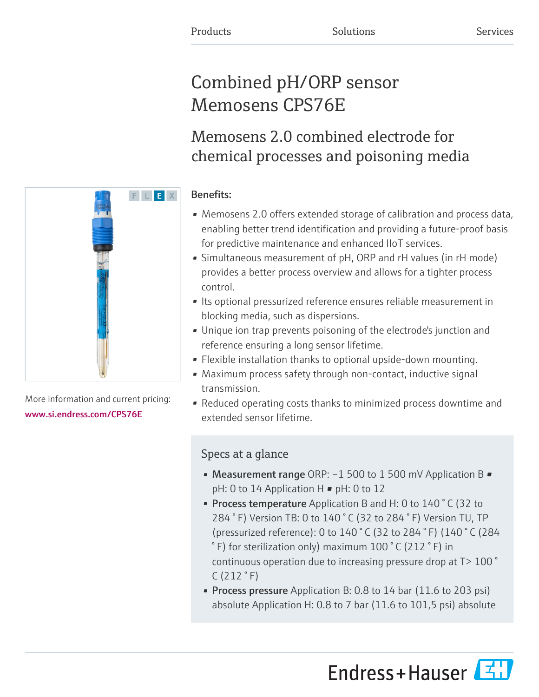# Combined pH/ORP sensor Memosens CPS76E

Memosens 2.0 combined electrode for chemical processes and poisoning media

# Benefits:

- Memosens 2.0 offers extended storage of calibration and process data, enabling better trend identification and providing a future-proof basis for predictive maintenance and enhanced IIoT services.
- Simultaneous measurement of pH, ORP and rH values (in rH mode) provides a better process overview and allows for a tighter process control.
- Its optional pressurized reference ensures reliable measurement in blocking media, such as dispersions.
- Unique ion trap prevents poisoning of the electrode's junction and reference ensuring a long sensor lifetime.
- Flexible installation thanks to optional upside-down mounting.
- Maximum process safety through non-contact, inductive signal transmission.
- Reduced operating costs thanks to minimized process downtime and extended sensor lifetime.

# Specs at a glance

- Measurement range ORP: -1 500 to 1 500 mV Application B pH: 0 to 14 Application H ■ pH: 0 to 12
- Process temperature Application B and H: 0 to 140 °C (32 to 284 ° F) Version TB: 0 to 140 ° C (32 to 284 ° F) Version TU, TP (pressurized reference): 0 to 140 ° C (32 to 284 ° F) (140 ° C (284 ° F) for sterilization only) maximum 100 ° C (212 ° F) in continuous operation due to increasing pressure drop at T> 100 °  $C(212 °F)$
- Process pressure Application B: 0.8 to 14 bar (11.6 to 203 psi) absolute Application H: 0.8 to 7 bar (11.6 to 101,5 psi) absolute





More information and current pricing: [www.si.endress.com/CPS76E](https://www.si.endress.com/CPS76E)

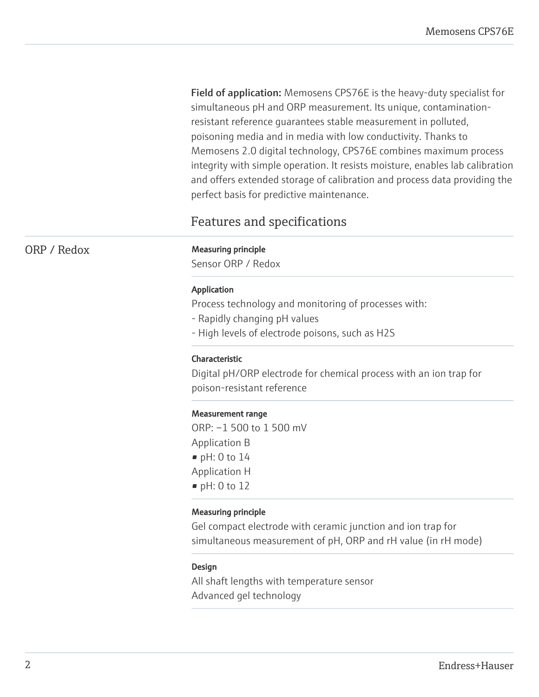Field of application: Memosens CPS76E is the heavy-duty specialist for simultaneous pH and ORP measurement. Its unique, contaminationresistant reference guarantees stable measurement in polluted, poisoning media and in media with low conductivity. Thanks to Memosens 2.0 digital technology, CPS76E combines maximum process integrity with simple operation. It resists moisture, enables lab calibration and offers extended storage of calibration and process data providing the perfect basis for predictive maintenance.

# Features and specifications

# ORP / Redox Measuring principle

Sensor ORP / Redox

# Application

Process technology and monitoring of processes with:

- Rapidly changing pH values
- High levels of electrode poisons, such as H2S

# Characteristic

Digital pH/ORP electrode for chemical process with an ion trap for poison-resistant reference

#### Measurement range

ORP: –1 500 to 1 500 mV Application B  $\blacksquare$  pH: 0 to 14 Application H • pH: 0 to 12

#### Measuring principle

Gel compact electrode with ceramic junction and ion trap for simultaneous measurement of pH, ORP and rH value (in rH mode)

#### Design

All shaft lengths with temperature sensor Advanced gel technology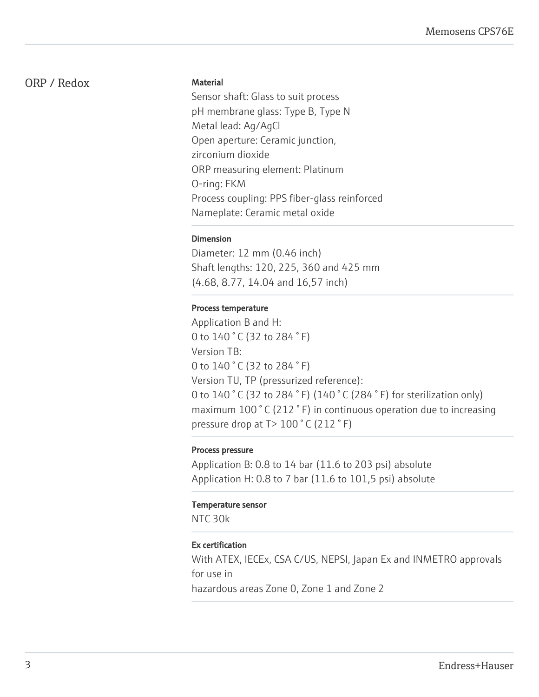# ORP / Redox

# **Material**

Sensor shaft: Glass to suit process pH membrane glass: Type B, Type N Metal lead: Ag/AgCl Open aperture: Ceramic junction, zirconium dioxide ORP measuring element: Platinum O-ring: FKM Process coupling: PPS fiber-glass reinforced Nameplate: Ceramic metal oxide

# Dimension

Diameter: 12 mm (0.46 inch) Shaft lengths: 120, 225, 360 and 425 mm (4.68, 8.77, 14.04 and 16,57 inch)

# Process temperature

Application B and H: 0 to 140 ° C (32 to 284 ° F) Version TB: 0 to 140 °C (32 to 284 °F) Version TU, TP (pressurized reference): 0 to 140 ° C (32 to 284 ° F) (140 ° C (284 ° F) for sterilization only) maximum 100 ° C (212 ° F) in continuous operation due to increasing pressure drop at T> 100 ° C (212 ° F)

# Process pressure

Application B: 0.8 to 14 bar (11.6 to 203 psi) absolute Application H: 0.8 to 7 bar (11.6 to 101,5 psi) absolute

#### Temperature sensor

NTC 30k

# Ex certification

With ATEX, IECEx, CSA C/US, NEPSI, Japan Ex and INMETRO approvals for use in

hazardous areas Zone 0, Zone 1 and Zone 2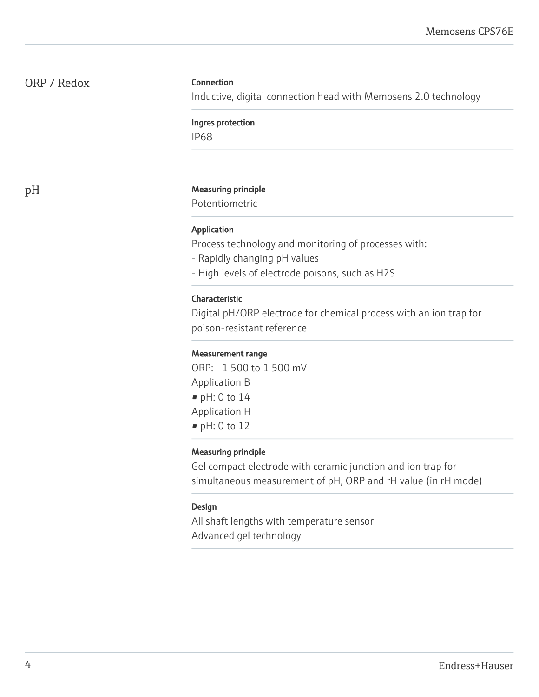# ORP / Redox

# **Connection**

Inductive, digital connection head with Memosens 2.0 technology

Ingres protection

IP68

# pH Measuring principle

Potentiometric

## Application

Process technology and monitoring of processes with:

- Rapidly changing pH values
- High levels of electrode poisons, such as H2S

#### Characteristic

Digital pH/ORP electrode for chemical process with an ion trap for poison-resistant reference

# Measurement range

ORP: –1 500 to 1 500 mV Application B • pH: 0 to 14 Application H • pH: 0 to 12

#### Measuring principle

Gel compact electrode with ceramic junction and ion trap for simultaneous measurement of pH, ORP and rH value (in rH mode)

#### Design

All shaft lengths with temperature sensor Advanced gel technology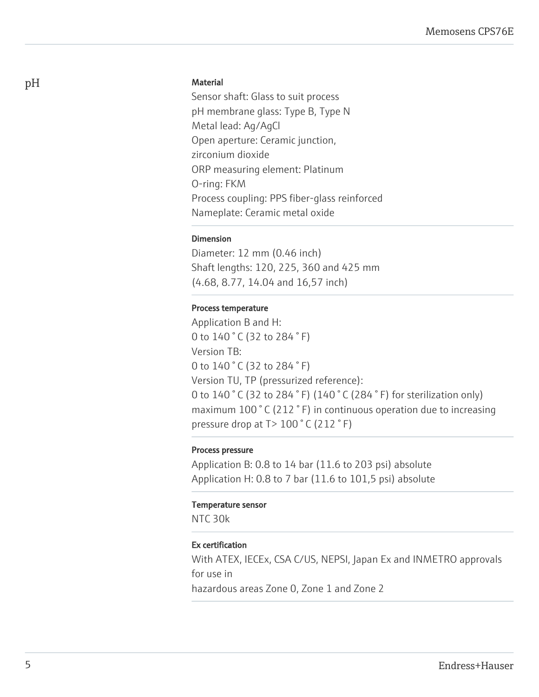# **Material**

Sensor shaft: Glass to suit process pH membrane glass: Type B, Type N Metal lead: Ag/AgCl Open aperture: Ceramic junction, zirconium dioxide ORP measuring element: Platinum O-ring: FKM Process coupling: PPS fiber-glass reinforced Nameplate: Ceramic metal oxide

# Dimension

Diameter: 12 mm (0.46 inch) Shaft lengths: 120, 225, 360 and 425 mm (4.68, 8.77, 14.04 and 16,57 inch)

# Process temperature

Application B and H: 0 to 140 ° C (32 to 284 ° F) Version TB: 0 to 140 °C (32 to 284 °F) Version TU, TP (pressurized reference): 0 to 140 ° C (32 to 284 ° F) (140 ° C (284 ° F) for sterilization only) maximum 100 ° C (212 ° F) in continuous operation due to increasing pressure drop at T> 100 ° C (212 ° F)

# Process pressure

Application B: 0.8 to 14 bar (11.6 to 203 psi) absolute Application H: 0.8 to 7 bar (11.6 to 101,5 psi) absolute

#### Temperature sensor

NTC 30k

# Ex certification

With ATEX, IECEx, CSA C/US, NEPSI, Japan Ex and INMETRO approvals for use in

hazardous areas Zone 0, Zone 1 and Zone 2